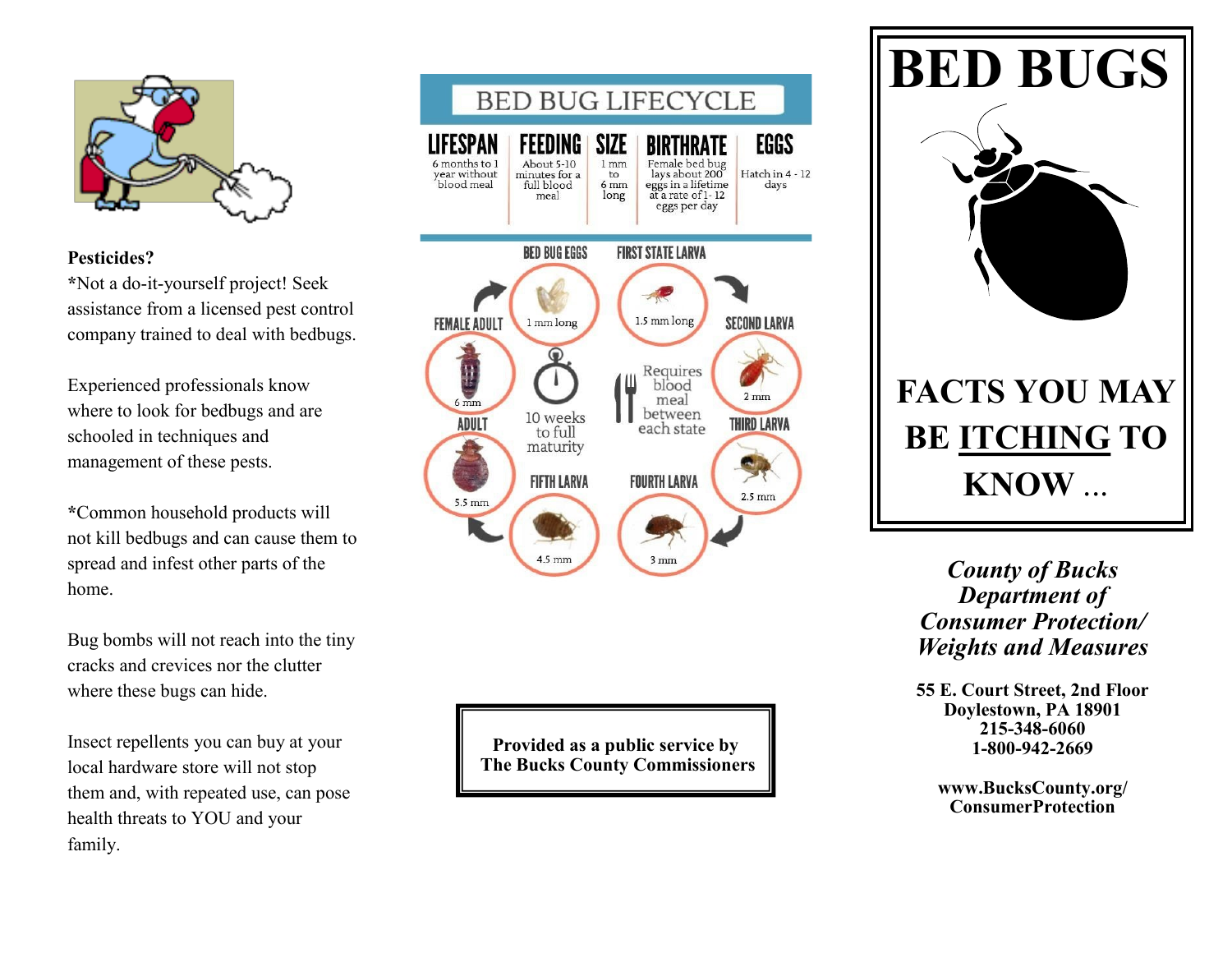

## **Pesticides?**

**\***Not a do-it-yourself project! Seek assistance from a licensed pest control company trained to deal with bedbugs.

Experienced professionals know where to look for bedbugs and are schooled in techniques and management of these pests.

**\***Common household products will not kill bedbugs and can cause them to spread and infest other parts of the home.

Bug bombs will not reach into the tiny cracks and crevices nor the clutter where these bugs can hide.

Insect repellents you can buy at your local hardware store will not stop them and, with repeated use, can pose health threats to YOU and your family.



**Provided as a public service by The Bucks County Commissioners**



*County of Bucks Department of Consumer Protection/ Weights and Measures*

**55 E. Court Street, 2nd Floor Doylestown, PA 18901 215-348-6060 1-800-942-2669**

**[www.BucksCounty.org/](http://www.buckscounty.org/) ConsumerProtection**